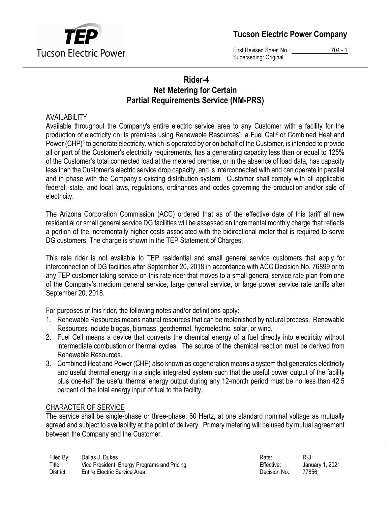

Tucson Electric Power Company

First Revised Sheet No.: 704 - 1 Superseding: Original

# Rider-4 Net Metering for Certain Partial Requirements Service (NM-PRS)

## AVAILABILITY

Available throughout the Company's entire electric service area to any Customer with a facility for the production of electricity on its premises using Renewable Resources<sup>1</sup>, a Fuel Cell<sup>2</sup> or Combined Heat and Power (CHP)<sup>3</sup> to generate electricity, which is operated by or on behalf of the Customer, is intended to provide all or part of the Customer's electricity requirements, has a generating capacity less than or equal to 125% of the Customer's total connected load at the metered premise, or in the absence of load data, has capacity less than the Customer's electric service drop capacity, and is interconnected with and can operate in parallel and in phase with the Company's existing distribution system. Customer shall comply with all applicable federal, state, and local laws, regulations, ordinances and codes governing the production and/or sale of electricity.

The Arizona Corporation Commission (ACC) ordered that as of the effective date of this tariff all new residential or small general service DG facilities will be assessed an incremental monthly charge that reflects a portion of the incrementally higher costs associated with the bidirectional meter that is required to serve DG customers. The charge is shown in the TEP Statement of Charges.

This rate rider is not available to TEP residential and small general service customers that apply for interconnection of DG facilities after September 20, 2018 in accordance with ACC Decision No. 76899 or to any TEP customer taking service on this rate rider that moves to a small general service rate plan from one of the Company's medium general service, large general service, or large power service rate tariffs after September 20, 2018.

For purposes of this rider, the following notes and/or definitions apply:

- 1. Renewable Resources means natural resources that can be replenished by natural process. Renewable Resources include biogas, biomass, geothermal, hydroelectric, solar, or wind.
- 2. Fuel Cell means a device that converts the chemical energy of a fuel directly into electricity without intermediate combustion or thermal cycles. The source of the chemical reaction must be derived from Renewable Resources.
- 3. Combined Heat and Power (CHP) also known as cogeneration means a system that generates electricity and useful thermal energy in a single integrated system such that the useful power output of the facility plus one-half the useful thermal energy output during any 12-month period must be no less than 42.5 percent of the total energy input of fuel to the facility.

## CHARACTER OF SERVICE

The service shall be single-phase or three-phase, 60 Hertz, at one standard nominal voltage as mutually agreed and subject to availability at the point of delivery. Primary metering will be used by mutual agreement between the Company and the Customer.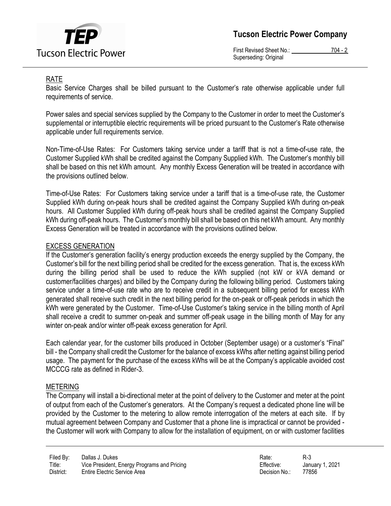

Tucson Electric Power Company

First Revised Sheet No.: 704 - 2 Superseding: Original

## RATE

Basic Service Charges shall be billed pursuant to the Customer's rate otherwise applicable under full requirements of service.

Power sales and special services supplied by the Company to the Customer in order to meet the Customer's supplemental or interruptible electric requirements will be priced pursuant to the Customer's Rate otherwise applicable under full requirements service.

Non-Time-of-Use Rates: For Customers taking service under a tariff that is not a time-of-use rate, the Customer Supplied kWh shall be credited against the Company Supplied kWh. The Customer's monthly bill shall be based on this net kWh amount. Any monthly Excess Generation will be treated in accordance with the provisions outlined below.

Time-of-Use Rates: For Customers taking service under a tariff that is a time-of-use rate, the Customer Supplied kWh during on-peak hours shall be credited against the Company Supplied kWh during on-peak hours. All Customer Supplied kWh during off-peak hours shall be credited against the Company Supplied kWh during off-peak hours. The Customer's monthly bill shall be based on this net kWh amount. Any monthly Excess Generation will be treated in accordance with the provisions outlined below.

## EXCESS GENERATION

If the Customer's generation facility's energy production exceeds the energy supplied by the Company, the Customer's bill for the next billing period shall be credited for the excess generation. That is, the excess kWh during the billing period shall be used to reduce the kWh supplied (not kW or kVA demand or customer/facilities charges) and billed by the Company during the following billing period. Customers taking service under a time-of-use rate who are to receive credit in a subsequent billing period for excess kWh generated shall receive such credit in the next billing period for the on-peak or off-peak periods in which the kWh were generated by the Customer. Time-of-Use Customer's taking service in the billing month of April shall receive a credit to summer on-peak and summer off-peak usage in the billing month of May for any winter on-peak and/or winter off-peak excess generation for April.

Each calendar year, for the customer bills produced in October (September usage) or a customer's "Final" bill - the Company shall credit the Customer for the balance of excess kWhs after netting against billing period usage. The payment for the purchase of the excess kWhs will be at the Company's applicable avoided cost MCCCG rate as defined in Rider-3.

### METERING

The Company will install a bi-directional meter at the point of delivery to the Customer and meter at the point of output from each of the Customer's generators. At the Company's request a dedicated phone line will be provided by the Customer to the metering to allow remote interrogation of the meters at each site. If by mutual agreement between Company and Customer that a phone line is impractical or cannot be provided the Customer will work with Company to allow for the installation of equipment, on or with customer facilities

| Rate:         | $R-3$           |
|---------------|-----------------|
| Effective:    | January 1, 2021 |
| Decision No.: | 77856           |